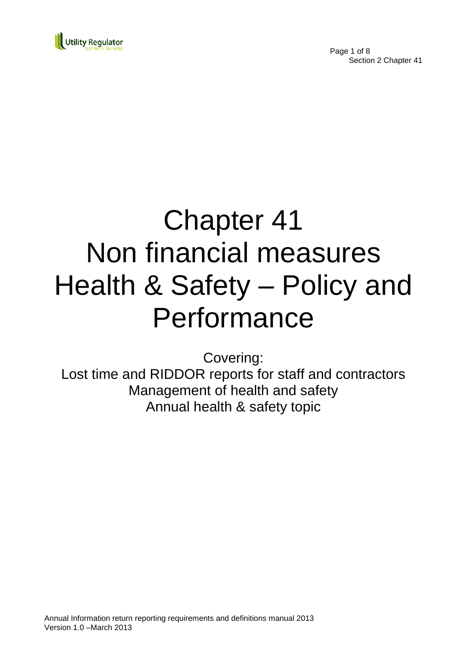

Page 1 of 8 Section 2 Chapter 41

# Chapter 41 Non financial measures Health & Safety – Policy and Performance

Covering:

Lost time and RIDDOR reports for staff and contractors Management of health and safety Annual health & safety topic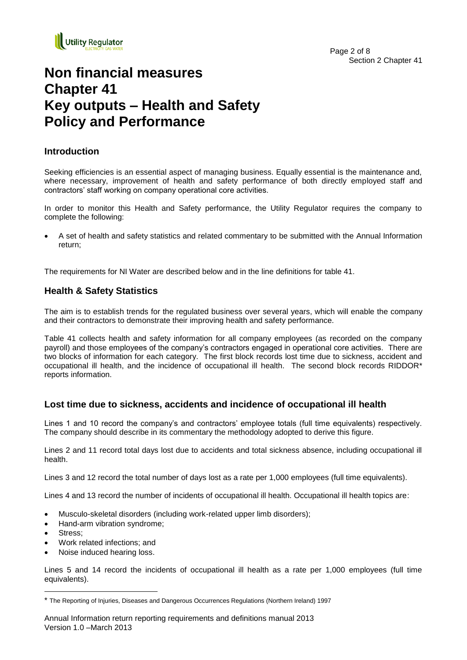

# **Non financial measures Chapter 41 Key outputs – Health and Safety Policy and Performance**

#### **Introduction**

Seeking efficiencies is an essential aspect of managing business. Equally essential is the maintenance and, where necessary, improvement of health and safety performance of both directly employed staff and contractors' staff working on company operational core activities.

In order to monitor this Health and Safety performance, the Utility Regulator requires the company to complete the following:

 A set of health and safety statistics and related commentary to be submitted with the Annual Information return;

The requirements for NI Water are described below and in the line definitions for table 41.

#### **Health & Safety Statistics**

The aim is to establish trends for the regulated business over several years, which will enable the company and their contractors to demonstrate their improving health and safety performance.

Table 41 collects health and safety information for all company employees (as recorded on the company payroll) and those employees of the company's contractors engaged in operational core activities. There are two blocks of information for each category. The first block records lost time due to sickness, accident and occupational ill health, and the incidence of occupational ill health. The second block records RIDDOR\* reports information.

#### **Lost time due to sickness, accidents and incidence of occupational ill health**

Lines 1 and 10 record the company's and contractors' employee totals (full time equivalents) respectively. The company should describe in its commentary the methodology adopted to derive this figure.

Lines 2 and 11 record total days lost due to accidents and total sickness absence, including occupational ill health.

Lines 3 and 12 record the total number of days lost as a rate per 1,000 employees (full time equivalents).

Lines 4 and 13 record the number of incidents of occupational ill health. Occupational ill health topics are:

- Musculo-skeletal disorders (including work-related upper limb disorders);
- Hand-arm vibration syndrome;
- Stress;

1

- Work related infections; and
- Noise induced hearing loss.

Lines 5 and 14 record the incidents of occupational ill health as a rate per 1,000 employees (full time equivalents).

<sup>\*</sup> The Reporting of Injuries, Diseases and Dangerous Occurrences Regulations (Northern Ireland) 1997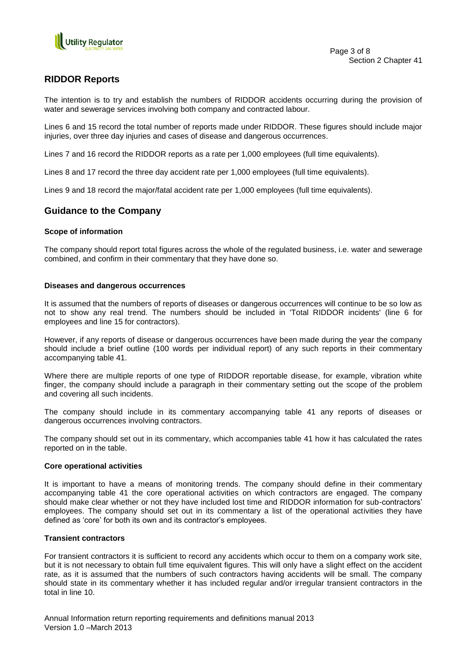

#### **RIDDOR Reports**

The intention is to try and establish the numbers of RIDDOR accidents occurring during the provision of water and sewerage services involving both company and contracted labour.

Lines 6 and 15 record the total number of reports made under RIDDOR. These figures should include major injuries, over three day injuries and cases of disease and dangerous occurrences.

Lines 7 and 16 record the RIDDOR reports as a rate per 1,000 employees (full time equivalents).

Lines 8 and 17 record the three day accident rate per 1,000 employees (full time equivalents).

Lines 9 and 18 record the major/fatal accident rate per 1,000 employees (full time equivalents).

#### **Guidance to the Company**

#### **Scope of information**

The company should report total figures across the whole of the regulated business, i.e. water and sewerage combined, and confirm in their commentary that they have done so.

#### **Diseases and dangerous occurrences**

It is assumed that the numbers of reports of diseases or dangerous occurrences will continue to be so low as not to show any real trend. The numbers should be included in 'Total RIDDOR incidents' (line 6 for employees and line 15 for contractors).

However, if any reports of disease or dangerous occurrences have been made during the year the company should include a brief outline (100 words per individual report) of any such reports in their commentary accompanying table 41.

Where there are multiple reports of one type of RIDDOR reportable disease, for example, vibration white finger, the company should include a paragraph in their commentary setting out the scope of the problem and covering all such incidents.

The company should include in its commentary accompanying table 41 any reports of diseases or dangerous occurrences involving contractors.

The company should set out in its commentary, which accompanies table 41 how it has calculated the rates reported on in the table.

#### **Core operational activities**

It is important to have a means of monitoring trends. The company should define in their commentary accompanying table 41 the core operational activities on which contractors are engaged. The company should make clear whether or not they have included lost time and RIDDOR information for sub-contractors' employees. The company should set out in its commentary a list of the operational activities they have defined as 'core' for both its own and its contractor's employees.

#### **Transient contractors**

For transient contractors it is sufficient to record any accidents which occur to them on a company work site, but it is not necessary to obtain full time equivalent figures. This will only have a slight effect on the accident rate, as it is assumed that the numbers of such contractors having accidents will be small. The company should state in its commentary whether it has included regular and/or irregular transient contractors in the total in line 10.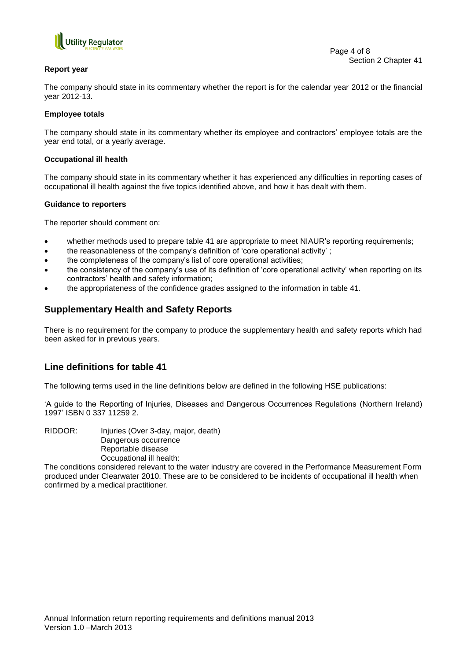

#### **Report year**

The company should state in its commentary whether the report is for the calendar year 2012 or the financial year 2012-13.

#### **Employee totals**

The company should state in its commentary whether its employee and contractors' employee totals are the year end total, or a yearly average.

#### **Occupational ill health**

The company should state in its commentary whether it has experienced any difficulties in reporting cases of occupational ill health against the five topics identified above, and how it has dealt with them.

#### **Guidance to reporters**

The reporter should comment on:

- whether methods used to prepare table 41 are appropriate to meet NIAUR's reporting requirements;
- the reasonableness of the company's definition of 'core operational activity' ;
- the completeness of the company's list of core operational activities;
- the consistency of the company's use of its definition of 'core operational activity' when reporting on its contractors' health and safety information;
- the appropriateness of the confidence grades assigned to the information in table 41.

#### **Supplementary Health and Safety Reports**

There is no requirement for the company to produce the supplementary health and safety reports which had been asked for in previous years.

#### **Line definitions for table 41**

The following terms used in the line definitions below are defined in the following HSE publications:

'A guide to the Reporting of Injuries, Diseases and Dangerous Occurrences Regulations (Northern Ireland) 1997' ISBN 0 337 11259 2.

RIDDOR: Injuries (Over 3-day, major, death) Dangerous occurrence Reportable disease Occupational ill health:

The conditions considered relevant to the water industry are covered in the Performance Measurement Form produced under Clearwater 2010. These are to be considered to be incidents of occupational ill health when confirmed by a medical practitioner.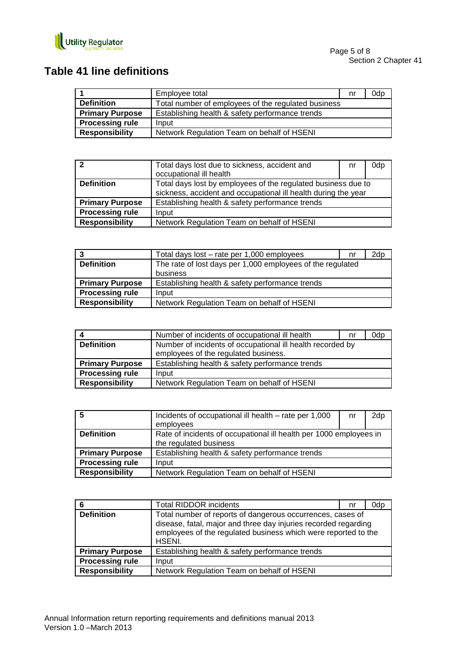

### **Table 41 line definitions**

|                        | Employee total                                      | nr | 0dp |
|------------------------|-----------------------------------------------------|----|-----|
| <b>Definition</b>      | Total number of employees of the regulated business |    |     |
| <b>Primary Purpose</b> | Establishing health & safety performance trends     |    |     |
| <b>Processing rule</b> | Input                                               |    |     |
| <b>Responsibility</b>  | Network Regulation Team on behalf of HSENI          |    |     |

| $\overline{\mathbf{z}}$ | Total days lost due to sickness, accident and<br>occupational ill health                                                        | nr | 0dp |
|-------------------------|---------------------------------------------------------------------------------------------------------------------------------|----|-----|
| <b>Definition</b>       | Total days lost by employees of the regulated business due to<br>sickness, accident and occupational ill health during the year |    |     |
| <b>Primary Purpose</b>  | Establishing health & safety performance trends                                                                                 |    |     |
| <b>Processing rule</b>  | Input                                                                                                                           |    |     |
| <b>Responsibility</b>   | Network Regulation Team on behalf of HSENI                                                                                      |    |     |

|                        | Total days lost – rate per 1,000 employees                 | nr | 2dp |
|------------------------|------------------------------------------------------------|----|-----|
| <b>Definition</b>      | The rate of lost days per 1,000 employees of the regulated |    |     |
|                        | business                                                   |    |     |
| <b>Primary Purpose</b> | Establishing health & safety performance trends            |    |     |
| <b>Processing rule</b> | Input                                                      |    |     |
| <b>Responsibility</b>  | Network Regulation Team on behalf of HSENI                 |    |     |

|                        | Number of incidents of occupational ill health             | nr | 0dp |
|------------------------|------------------------------------------------------------|----|-----|
| <b>Definition</b>      | Number of incidents of occupational ill health recorded by |    |     |
|                        | employees of the regulated business.                       |    |     |
| <b>Primary Purpose</b> | Establishing health & safety performance trends            |    |     |
| <b>Processing rule</b> | Input                                                      |    |     |
| <b>Responsibility</b>  | Network Regulation Team on behalf of HSENI                 |    |     |

| -5                     | Incidents of occupational ill health – rate per 1,000<br>employees                           | nr | 2dp |
|------------------------|----------------------------------------------------------------------------------------------|----|-----|
| <b>Definition</b>      | Rate of incidents of occupational ill health per 1000 employees in<br>the regulated business |    |     |
| <b>Primary Purpose</b> | Establishing health & safety performance trends                                              |    |     |
| <b>Processing rule</b> | Input                                                                                        |    |     |
| <b>Responsibility</b>  | Network Regulation Team on behalf of HSENI                                                   |    |     |

|                        | <b>Total RIDDOR incidents</b>                                                                                                                                                                             | nr | 0dp |
|------------------------|-----------------------------------------------------------------------------------------------------------------------------------------------------------------------------------------------------------|----|-----|
| <b>Definition</b>      | Total number of reports of dangerous occurrences, cases of<br>disease, fatal, major and three day injuries recorded regarding<br>employees of the regulated business which were reported to the<br>HSENI. |    |     |
| <b>Primary Purpose</b> | Establishing health & safety performance trends                                                                                                                                                           |    |     |
| <b>Processing rule</b> | Input                                                                                                                                                                                                     |    |     |
| <b>Responsibility</b>  | Network Regulation Team on behalf of HSENI                                                                                                                                                                |    |     |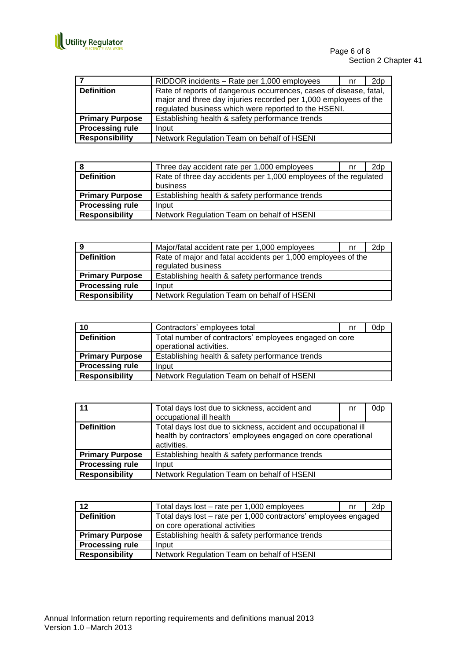

|                        | RIDDOR incidents - Rate per 1,000 employees                                                                                                                                                    | nr | 2dp |
|------------------------|------------------------------------------------------------------------------------------------------------------------------------------------------------------------------------------------|----|-----|
| <b>Definition</b>      | Rate of reports of dangerous occurrences, cases of disease, fatal,<br>major and three day injuries recorded per 1,000 employees of the<br>regulated business which were reported to the HSENI. |    |     |
| <b>Primary Purpose</b> | Establishing health & safety performance trends                                                                                                                                                |    |     |
| <b>Processing rule</b> | Input                                                                                                                                                                                          |    |     |
| <b>Responsibility</b>  | Network Regulation Team on behalf of HSENI                                                                                                                                                     |    |     |

|                        | Three day accident rate per 1,000 employees                      | nr | 2d <sub>p</sub> |
|------------------------|------------------------------------------------------------------|----|-----------------|
| <b>Definition</b>      | Rate of three day accidents per 1,000 employees of the regulated |    |                 |
|                        | business                                                         |    |                 |
| <b>Primary Purpose</b> | Establishing health & safety performance trends                  |    |                 |
| <b>Processing rule</b> | Input                                                            |    |                 |
| <b>Responsibility</b>  | Network Regulation Team on behalf of HSENI                       |    |                 |

| 9                      | Major/fatal accident rate per 1,000 employees                | nr | 2dp |
|------------------------|--------------------------------------------------------------|----|-----|
| <b>Definition</b>      | Rate of major and fatal accidents per 1,000 employees of the |    |     |
|                        | regulated business                                           |    |     |
| <b>Primary Purpose</b> | Establishing health & safety performance trends              |    |     |
| <b>Processing rule</b> | Input                                                        |    |     |
| Responsibility         | Network Regulation Team on behalf of HSENI                   |    |     |

| 10                     | Contractors' employees total                                                      | nr | 0dp |
|------------------------|-----------------------------------------------------------------------------------|----|-----|
| <b>Definition</b>      | Total number of contractors' employees engaged on core<br>operational activities. |    |     |
| <b>Primary Purpose</b> | Establishing health & safety performance trends                                   |    |     |
| <b>Processing rule</b> | Input                                                                             |    |     |
| <b>Responsibility</b>  | Network Regulation Team on behalf of HSENI                                        |    |     |

| 11                     | Total days lost due to sickness, accident and                  | nr | 0dp |
|------------------------|----------------------------------------------------------------|----|-----|
|                        | occupational ill health                                        |    |     |
| <b>Definition</b>      | Total days lost due to sickness, accident and occupational ill |    |     |
|                        | health by contractors' employees engaged on core operational   |    |     |
|                        | activities.                                                    |    |     |
| <b>Primary Purpose</b> | Establishing health & safety performance trends                |    |     |
| <b>Processing rule</b> | Input                                                          |    |     |
| <b>Responsibility</b>  | Network Regulation Team on behalf of HSENI                     |    |     |

| 12                     | Total days lost – rate per 1,000 employees                      | nr | 2d <sub>p</sub> |  |
|------------------------|-----------------------------------------------------------------|----|-----------------|--|
| <b>Definition</b>      | Total days lost - rate per 1,000 contractors' employees engaged |    |                 |  |
|                        | on core operational activities                                  |    |                 |  |
| <b>Primary Purpose</b> | Establishing health & safety performance trends                 |    |                 |  |
| <b>Processing rule</b> | Input                                                           |    |                 |  |
| <b>Responsibility</b>  | Network Regulation Team on behalf of HSENI                      |    |                 |  |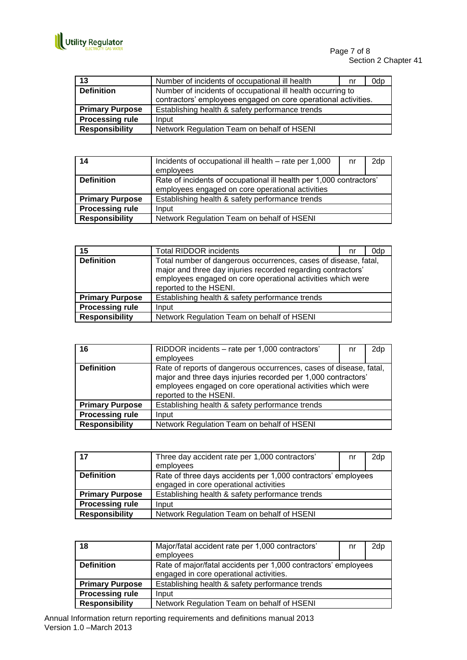

Page 7 of 8 Section 2 Chapter 41

| 13                     | Number of incidents of occupational ill health                 | nr | 0dp |
|------------------------|----------------------------------------------------------------|----|-----|
| <b>Definition</b>      | Number of incidents of occupational ill health occurring to    |    |     |
|                        | contractors' employees engaged on core operational activities. |    |     |
| <b>Primary Purpose</b> | Establishing health & safety performance trends                |    |     |
| <b>Processing rule</b> | Input                                                          |    |     |
| <b>Responsibility</b>  | Network Regulation Team on behalf of HSENI                     |    |     |

| 14                     | Incidents of occupational ill health – rate per 1,000               | nr | 2dp |
|------------------------|---------------------------------------------------------------------|----|-----|
|                        | employees                                                           |    |     |
| <b>Definition</b>      | Rate of incidents of occupational ill health per 1,000 contractors' |    |     |
|                        | employees engaged on core operational activities                    |    |     |
| <b>Primary Purpose</b> | Establishing health & safety performance trends                     |    |     |
| <b>Processing rule</b> | Input                                                               |    |     |
| <b>Responsibility</b>  | Network Regulation Team on behalf of HSENI                          |    |     |

| 15                     | <b>Total RIDDOR incidents</b>                                                                                                                                                                                            | nr | 0dp |
|------------------------|--------------------------------------------------------------------------------------------------------------------------------------------------------------------------------------------------------------------------|----|-----|
| <b>Definition</b>      | Total number of dangerous occurrences, cases of disease, fatal,<br>major and three day injuries recorded regarding contractors'<br>employees engaged on core operational activities which were<br>reported to the HSENI. |    |     |
| <b>Primary Purpose</b> | Establishing health & safety performance trends                                                                                                                                                                          |    |     |
| <b>Processing rule</b> | Input                                                                                                                                                                                                                    |    |     |
| <b>Responsibility</b>  | Network Regulation Team on behalf of HSENI                                                                                                                                                                               |    |     |

| 16                     | RIDDOR incidents - rate per 1,000 contractors'<br>employees                                                                                                                                                                  | nr | 2dp |
|------------------------|------------------------------------------------------------------------------------------------------------------------------------------------------------------------------------------------------------------------------|----|-----|
| <b>Definition</b>      | Rate of reports of dangerous occurrences, cases of disease, fatal,<br>major and three days injuries recorded per 1,000 contractors'<br>employees engaged on core operational activities which were<br>reported to the HSENI. |    |     |
| <b>Primary Purpose</b> | Establishing health & safety performance trends                                                                                                                                                                              |    |     |
| <b>Processing rule</b> | Input                                                                                                                                                                                                                        |    |     |
| <b>Responsibility</b>  | Network Regulation Team on behalf of HSENI                                                                                                                                                                                   |    |     |

| 17                     | Three day accident rate per 1,000 contractors'<br>employees                                             | nr | 2dp |
|------------------------|---------------------------------------------------------------------------------------------------------|----|-----|
| <b>Definition</b>      | Rate of three days accidents per 1,000 contractors' employees<br>engaged in core operational activities |    |     |
| <b>Primary Purpose</b> | Establishing health & safety performance trends                                                         |    |     |
| <b>Processing rule</b> | Input                                                                                                   |    |     |
| <b>Responsibility</b>  | Network Regulation Team on behalf of HSENI                                                              |    |     |

| 18                     | Major/fatal accident rate per 1,000 contractors'<br>employees                                             | nr | 2dp |
|------------------------|-----------------------------------------------------------------------------------------------------------|----|-----|
| <b>Definition</b>      | Rate of major/fatal accidents per 1,000 contractors' employees<br>engaged in core operational activities. |    |     |
| <b>Primary Purpose</b> | Establishing health & safety performance trends                                                           |    |     |
| <b>Processing rule</b> | Input                                                                                                     |    |     |
| <b>Responsibility</b>  | Network Regulation Team on behalf of HSENI                                                                |    |     |